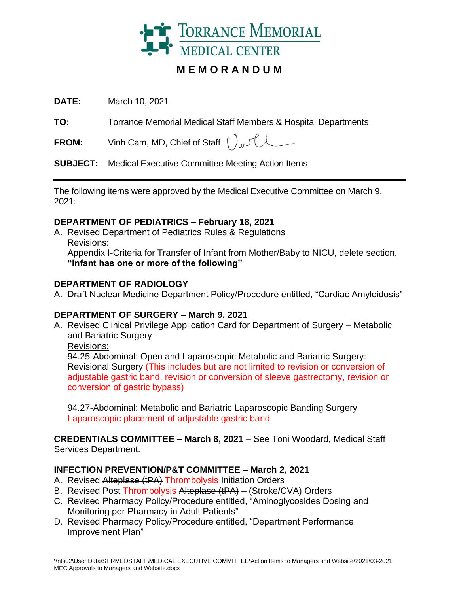

# **M E M O R A N D U M**

**DATE:** March 10, 2021

**TO:** Torrance Memorial Medical Staff Members & Hospital Departments

**FROM:** Vinh Cam, MD, Chief of Staff  $\int_{\mathcal{M}} \int_{\mathcal{M}}$ 

**SUBJECT:** Medical Executive Committee Meeting Action Items

The following items were approved by the Medical Executive Committee on March 9, 2021:

#### **DEPARTMENT OF PEDIATRICS – February 18, 2021**

A. Revised Department of Pediatrics Rules & Regulations Revisions: Appendix I-Criteria for Transfer of Infant from Mother/Baby to NICU, delete section, **"Infant has one or more of the following"**

### **DEPARTMENT OF RADIOLOGY**

A. Draft Nuclear Medicine Department Policy/Procedure entitled, "Cardiac Amyloidosis"

# **DEPARTMENT OF SURGERY – March 9, 2021**

A. Revised Clinical Privilege Application Card for Department of Surgery – Metabolic and Bariatric Surgery

Revisions:

94.25-Abdominal: Open and Laparoscopic Metabolic and Bariatric Surgery: Revisional Surgery (This includes but are not limited to revision or conversion of adjustable gastric band, revision or conversion of sleeve gastrectomy, revision or conversion of gastric bypass)

94.27-Abdominal: Metabolic and Bariatric Laparoscopic Banding Surgery Laparoscopic placement of adjustable gastric band

**CREDENTIALS COMMITTEE – March 8, 2021** – See Toni Woodard, Medical Staff Services Department.

# **INFECTION PREVENTION/P&T COMMITTEE – March 2, 2021**

- A. Revised Alteplase (tPA) Thrombolysis Initiation Orders
- B. Revised Post Thrombolysis Alteplase (tPA) (Stroke/CVA) Orders
- C. Revised Pharmacy Policy/Procedure entitled, "Aminoglycosides Dosing and Monitoring per Pharmacy in Adult Patients"
- D. Revised Pharmacy Policy/Procedure entitled, "Department Performance Improvement Plan"